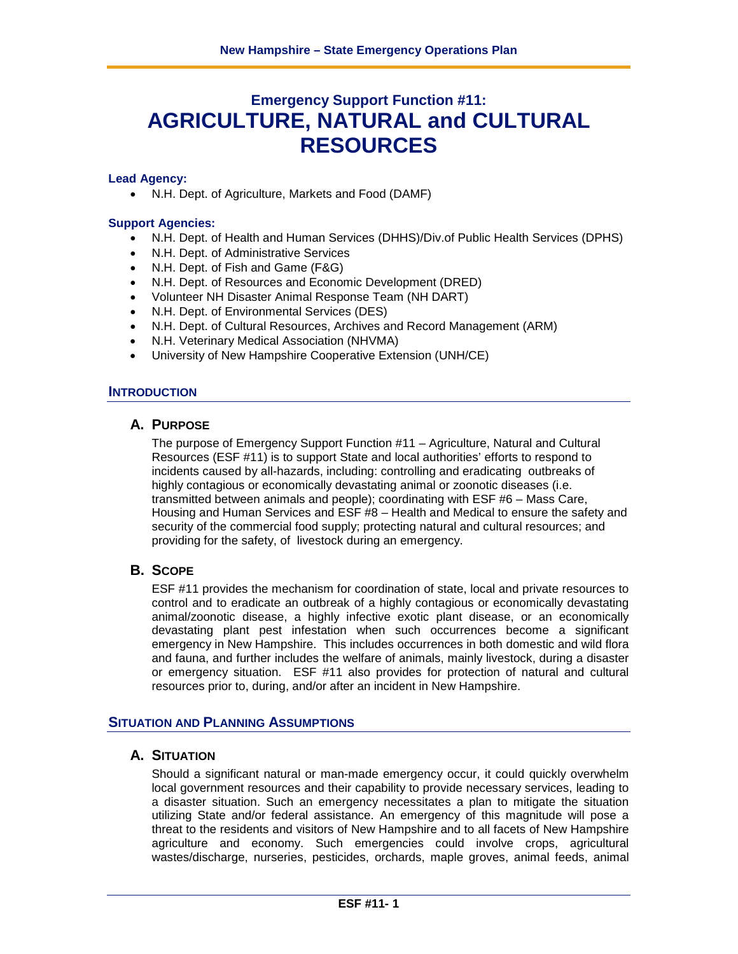# **Emergency Support Function #11: AGRICULTURE, NATURAL and CULTURAL RESOURCES**

#### **Lead Agency:**

• N.H. Dept. of Agriculture, Markets and Food (DAMF)

#### **Support Agencies:**

- N.H. Dept. of Health and Human Services (DHHS)/Div.of Public Health Services (DPHS)
- N.H. Dept. of Administrative Services
- N.H. Dept. of Fish and Game (F&G)
- N.H. Dept. of Resources and Economic Development (DRED)
- Volunteer NH Disaster Animal Response Team (NH DART)<br>• NH Dept of Environmental Services (DES)
- N.H. Dept. of Environmental Services (DES)
- N.H. Dept. of Cultural Resources, Archives and Record Management (ARM)
- N.H. Veterinary Medical Association (NHVMA)
- University of New Hampshire Cooperative Extension (UNH/CE)

# **INTRODUCTION**

# **A. PURPOSE**

The purpose of Emergency Support Function #11 – Agriculture, Natural and Cultural Resources (ESF #11) is to support State and local authorities' efforts to respond to incidents caused by all-hazards, including: controlling and eradicating outbreaks of highly contagious or economically devastating animal or zoonotic diseases (i.e. transmitted between animals and people); coordinating with ESF #6 – Mass Care, Housing and Human Services and ESF #8 – Health and Medical to ensure the safety and security of the commercial food supply; protecting natural and cultural resources; and providing for the safety, of livestock during an emergency.

# **B. SCOPE**

ESF #11 provides the mechanism for coordination of state, local and private resources to control and to eradicate an outbreak of a highly contagious or economically devastating animal/zoonotic disease, a highly infective exotic plant disease, or an economically devastating plant pest infestation when such occurrences become a significant emergency in New Hampshire. This includes occurrences in both domestic and wild flora and fauna, and further includes the welfare of animals, mainly livestock, during a disaster or emergency situation. ESF #11 also provides for protection of natural and cultural resources prior to, during, and/or after an incident in New Hampshire.

# **SITUATION AND PLANNING ASSUMPTIONS**

# **A. SITUATION**

Should a significant natural or man-made emergency occur, it could quickly overwhelm local government resources and their capability to provide necessary services, leading to a disaster situation. Such an emergency necessitates a plan to mitigate the situation utilizing State and/or federal assistance. An emergency of this magnitude will pose a threat to the residents and visitors of New Hampshire and to all facets of New Hampshire agriculture and economy. Such emergencies could involve crops, agricultural wastes/discharge, nurseries, pesticides, orchards, maple groves, animal feeds, animal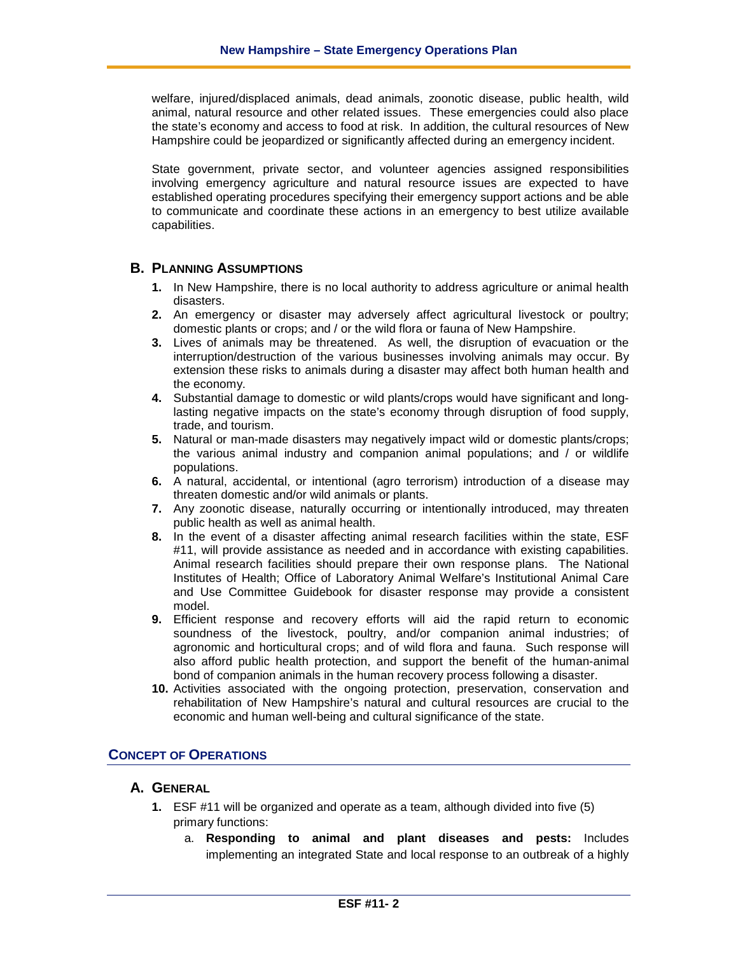welfare, injured/displaced animals, dead animals, zoonotic disease, public health, wild animal, natural resource and other related issues. These emergencies could also place the state's economy and access to food at risk. In addition, the cultural resources of New Hampshire could be jeopardized or significantly affected during an emergency incident.

State government, private sector, and volunteer agencies assigned responsibilities involving emergency agriculture and natural resource issues are expected to have established operating procedures specifying their emergency support actions and be able to communicate and coordinate these actions in an emergency to best utilize available capabilities.

# **B. PLANNING ASSUMPTIONS**

- **1.** In New Hampshire, there is no local authority to address agriculture or animal health disasters.
- **2.** An emergency or disaster may adversely affect agricultural livestock or poultry; domestic plants or crops; and / or the wild flora or fauna of New Hampshire.
- **3.** Lives of animals may be threatened. As well, the disruption of evacuation or the interruption/destruction of the various businesses involving animals may occur. By extension these risks to animals during a disaster may affect both human health and the economy.
- **4.** Substantial damage to domestic or wild plants/crops would have significant and longlasting negative impacts on the state's economy through disruption of food supply, trade, and tourism.
- **5.** Natural or man-made disasters may negatively impact wild or domestic plants/crops; the various animal industry and companion animal populations; and / or wildlife populations.
- **6.** A natural, accidental, or intentional (agro terrorism) introduction of a disease may threaten domestic and/or wild animals or plants.
- **7.** Any zoonotic disease, naturally occurring or intentionally introduced, may threaten public health as well as animal health.
- **8.** In the event of a disaster affecting animal research facilities within the state, ESF #11, will provide assistance as needed and in accordance with existing capabilities. Animal research facilities should prepare their own response plans. The National Institutes of Health; Office of Laboratory Animal Welfare's Institutional Animal Care and Use Committee Guidebook for disaster response may provide a consistent model.
- **9.** Efficient response and recovery efforts will aid the rapid return to economic soundness of the livestock, poultry, and/or companion animal industries; of agronomic and horticultural crops; and of wild flora and fauna. Such response will also afford public health protection, and support the benefit of the human-animal bond of companion animals in the human recovery process following a disaster.
- **10.** Activities associated with the ongoing protection, preservation, conservation and rehabilitation of New Hampshire's natural and cultural resources are crucial to the economic and human well-being and cultural significance of the state.

# **CONCEPT OF OPERATIONS**

# **A. GENERAL**

- **1.** ESF #11 will be organized and operate as a team, although divided into five (5) primary functions:
	- a. **Responding to animal and plant diseases and pests:** Includes implementing an integrated State and local response to an outbreak of a highly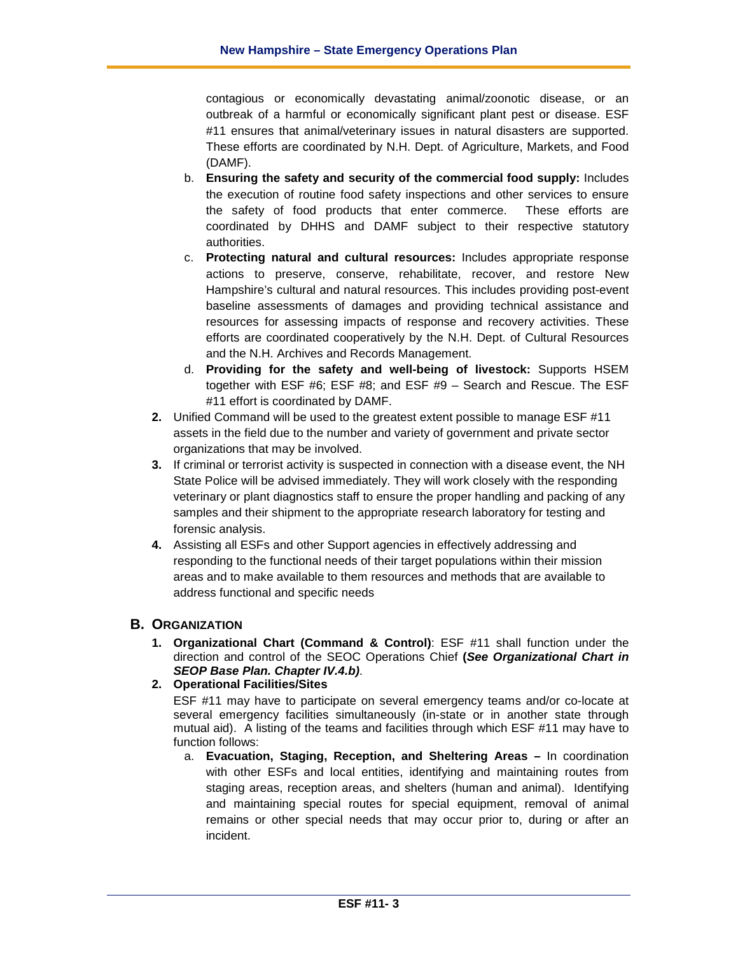contagious or economically devastating animal/zoonotic disease, or an outbreak of a harmful or economically significant plant pest or disease. ESF #11 ensures that animal/veterinary issues in natural disasters are supported. These efforts are coordinated by N.H. Dept. of Agriculture, Markets, and Food (DAMF).

- b. **Ensuring the safety and security of the commercial food supply:** Includes the execution of routine food safety inspections and other services to ensure the safety of food products that enter commerce. These efforts are coordinated by DHHS and DAMF subject to their respective statutory authorities.
- c. **Protecting natural and cultural resources:** Includes appropriate response actions to preserve, conserve, rehabilitate, recover, and restore New Hampshire's cultural and natural resources. This includes providing post-event baseline assessments of damages and providing technical assistance and resources for assessing impacts of response and recovery activities. These efforts are coordinated cooperatively by the N.H. Dept. of Cultural Resources and the N.H. Archives and Records Management.
- d. **Providing for the safety and well-being of livestock:** Supports HSEM together with ESF #6; ESF #8; and ESF #9 – Search and Rescue. The ESF #11 effort is coordinated by DAMF.
- **2.** Unified Command will be used to the greatest extent possible to manage ESF #11 assets in the field due to the number and variety of government and private sector organizations that may be involved.
- **3.** If criminal or terrorist activity is suspected in connection with a disease event, the NH State Police will be advised immediately. They will work closely with the responding veterinary or plant diagnostics staff to ensure the proper handling and packing of any samples and their shipment to the appropriate research laboratory for testing and forensic analysis.
- **4.** Assisting all ESFs and other Support agencies in effectively addressing and responding to the functional needs of their target populations within their mission areas and to make available to them resources and methods that are available to address functional and specific needs

# **B. ORGANIZATION**

**1. Organizational Chart (Command & Control)**: ESF #11 shall function under the direction and control of the SEOC Operations Chief **(***See Organizational Chart in SEOP Base Plan. Chapter IV.4.b)*.

# **2. Operational Facilities/Sites**

ESF #11 may have to participate on several emergency teams and/or co-locate at several emergency facilities simultaneously (in-state or in another state through mutual aid). A listing of the teams and facilities through which ESF #11 may have to function follows:

a. **Evacuation, Staging, Reception, and Sheltering Areas –** In coordination with other ESFs and local entities, identifying and maintaining routes from staging areas, reception areas, and shelters (human and animal). Identifying and maintaining special routes for special equipment, removal of animal remains or other special needs that may occur prior to, during or after an incident.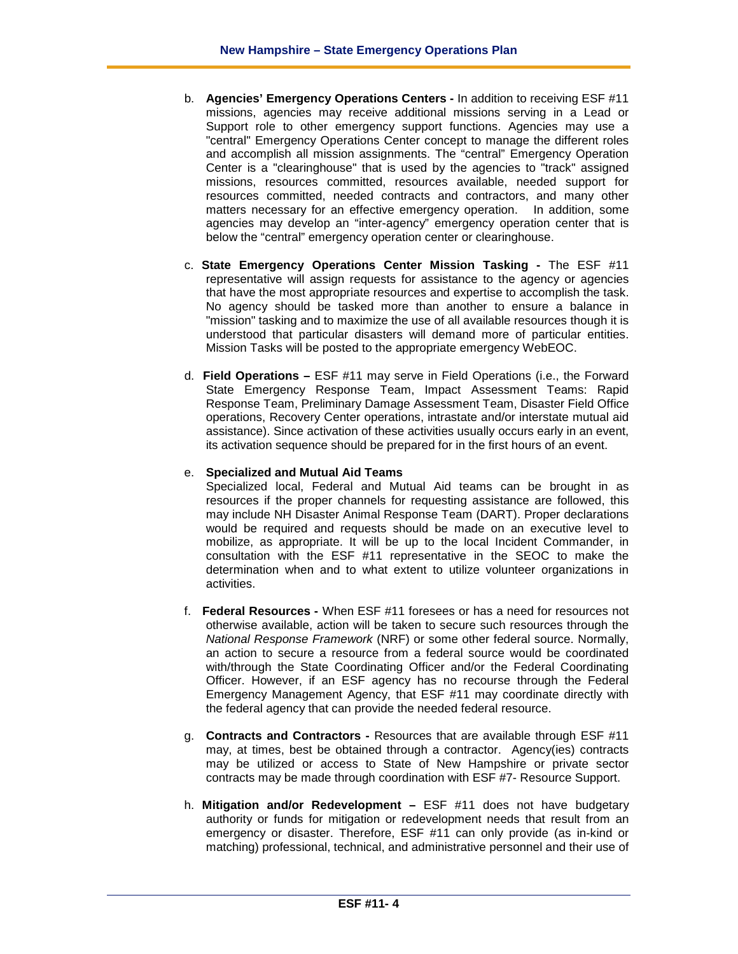- b. **Agencies' Emergency Operations Centers -** In addition to receiving ESF #11 missions, agencies may receive additional missions serving in a Lead or Support role to other emergency support functions. Agencies may use a "central" Emergency Operations Center concept to manage the different roles and accomplish all mission assignments. The "central" Emergency Operation Center is a "clearinghouse" that is used by the agencies to "track" assigned missions, resources committed, resources available, needed support for resources committed, needed contracts and contractors, and many other matters necessary for an effective emergency operation. In addition, some agencies may develop an "inter-agency" emergency operation center that is below the "central" emergency operation center or clearinghouse.
- c. **State Emergency Operations Center Mission Tasking -** The ESF #11 representative will assign requests for assistance to the agency or agencies that have the most appropriate resources and expertise to accomplish the task. No agency should be tasked more than another to ensure a balance in "mission" tasking and to maximize the use of all available resources though it is understood that particular disasters will demand more of particular entities. Mission Tasks will be posted to the appropriate emergency WebEOC.
- d. **Field Operations –** ESF #11 may serve in Field Operations (i.e., the Forward State Emergency Response Team, Impact Assessment Teams: Rapid Response Team, Preliminary Damage Assessment Team, Disaster Field Office operations, Recovery Center operations, intrastate and/or interstate mutual aid assistance). Since activation of these activities usually occurs early in an event, its activation sequence should be prepared for in the first hours of an event.

# e. **Specialized and Mutual Aid Teams**

Specialized local, Federal and Mutual Aid teams can be brought in as resources if the proper channels for requesting assistance are followed, this may include NH Disaster Animal Response Team (DART). Proper declarations would be required and requests should be made on an executive level to mobilize, as appropriate. It will be up to the local Incident Commander, in consultation with the ESF #11 representative in the SEOC to make the determination when and to what extent to utilize volunteer organizations in activities.

- f. **Federal Resources -** When ESF #11 foresees or has a need for resources not otherwise available, action will be taken to secure such resources through the *National Response Framework* (NRF) or some other federal source. Normally, an action to secure a resource from a federal source would be coordinated with/through the State Coordinating Officer and/or the Federal Coordinating Officer. However, if an ESF agency has no recourse through the Federal Emergency Management Agency, that ESF #11 may coordinate directly with the federal agency that can provide the needed federal resource.
- g. **Contracts and Contractors -** Resources that are available through ESF #11 may, at times, best be obtained through a contractor. Agency(ies) contracts may be utilized or access to State of New Hampshire or private sector contracts may be made through coordination with ESF #7- Resource Support.
- h. **Mitigation and/or Redevelopment –** ESF #11 does not have budgetary authority or funds for mitigation or redevelopment needs that result from an emergency or disaster. Therefore, ESF #11 can only provide (as in-kind or matching) professional, technical, and administrative personnel and their use of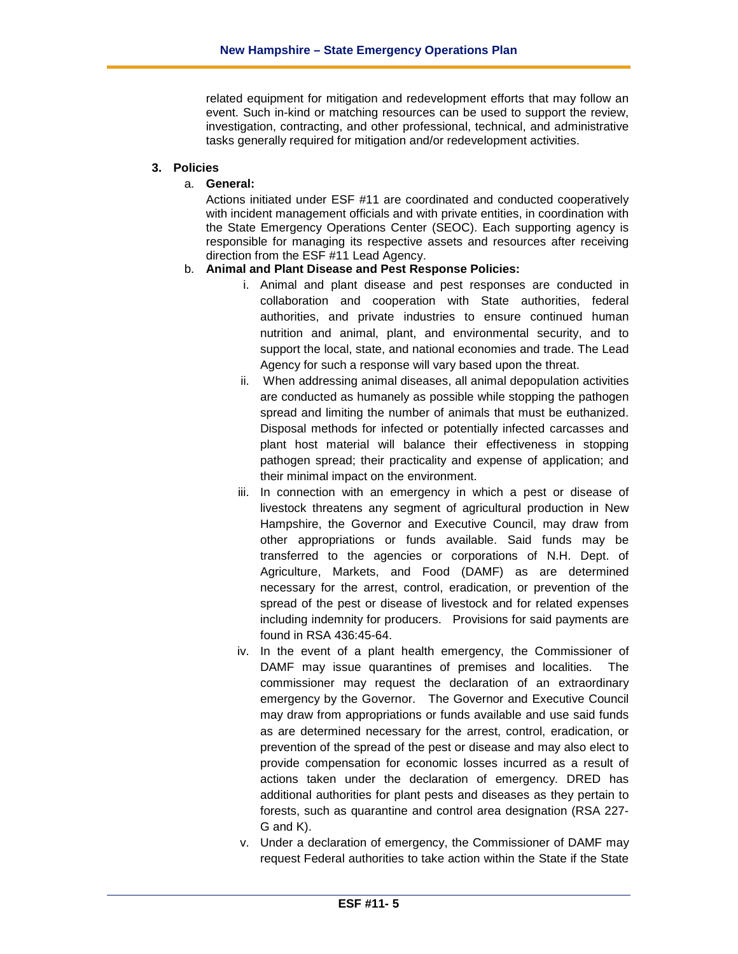related equipment for mitigation and redevelopment efforts that may follow an event. Such in-kind or matching resources can be used to support the review, investigation, contracting, and other professional, technical, and administrative tasks generally required for mitigation and/or redevelopment activities.

#### **3. Policies**

### a. **General:**

Actions initiated under ESF #11 are coordinated and conducted cooperatively with incident management officials and with private entities, in coordination with the State Emergency Operations Center (SEOC). Each supporting agency is responsible for managing its respective assets and resources after receiving direction from the ESF #11 Lead Agency.

### b. **Animal and Plant Disease and Pest Response Policies:**

- i. Animal and plant disease and pest responses are conducted in collaboration and cooperation with State authorities, federal authorities, and private industries to ensure continued human nutrition and animal, plant, and environmental security, and to support the local, state, and national economies and trade. The Lead Agency for such a response will vary based upon the threat.
- ii. When addressing animal diseases, all animal depopulation activities are conducted as humanely as possible while stopping the pathogen spread and limiting the number of animals that must be euthanized. Disposal methods for infected or potentially infected carcasses and plant host material will balance their effectiveness in stopping pathogen spread; their practicality and expense of application; and their minimal impact on the environment.
- iii. In connection with an emergency in which a pest or disease of livestock threatens any segment of agricultural production in New Hampshire, the Governor and Executive Council, may draw from other appropriations or funds available. Said funds may be transferred to the agencies or corporations of N.H. Dept. of Agriculture, Markets, and Food (DAMF) as are determined necessary for the arrest, control, eradication, or prevention of the spread of the pest or disease of livestock and for related expenses including indemnity for producers. Provisions for said payments are found in RSA 436:45-64.
- iv. In the event of a plant health emergency, the Commissioner of DAMF may issue quarantines of premises and localities. The commissioner may request the declaration of an extraordinary emergency by the Governor. The Governor and Executive Council may draw from appropriations or funds available and use said funds as are determined necessary for the arrest, control, eradication, or prevention of the spread of the pest or disease and may also elect to provide compensation for economic losses incurred as a result of actions taken under the declaration of emergency. DRED has additional authorities for plant pests and diseases as they pertain to forests, such as quarantine and control area designation (RSA 227- G and K).
- v. Under a declaration of emergency, the Commissioner of DAMF may request Federal authorities to take action within the State if the State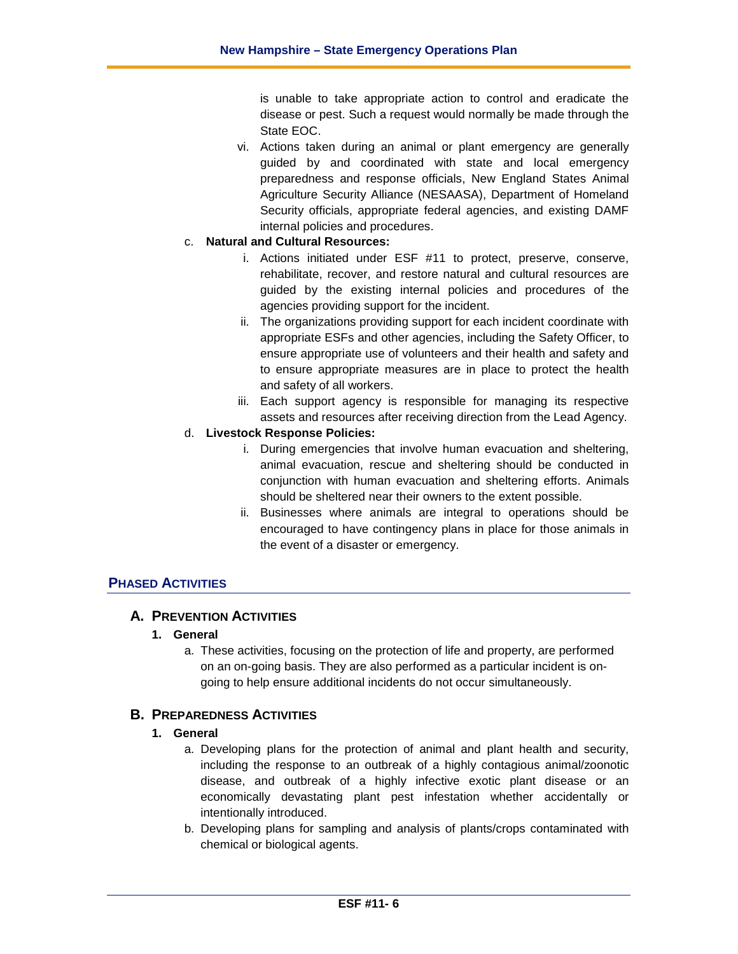is unable to take appropriate action to control and eradicate the disease or pest. Such a request would normally be made through the State EOC.

vi. Actions taken during an animal or plant emergency are generally guided by and coordinated with state and local emergency preparedness and response officials, New England States Animal Agriculture Security Alliance (NESAASA), Department of Homeland Security officials, appropriate federal agencies, and existing DAMF internal policies and procedures.

# c. **Natural and Cultural Resources:**

- i. Actions initiated under ESF #11 to protect, preserve, conserve, rehabilitate, recover, and restore natural and cultural resources are guided by the existing internal policies and procedures of the agencies providing support for the incident.
- ii. The organizations providing support for each incident coordinate with appropriate ESFs and other agencies, including the Safety Officer, to ensure appropriate use of volunteers and their health and safety and to ensure appropriate measures are in place to protect the health and safety of all workers.
- iii. Each support agency is responsible for managing its respective assets and resources after receiving direction from the Lead Agency.

### d. **Livestock Response Policies:**

- i. During emergencies that involve human evacuation and sheltering, animal evacuation, rescue and sheltering should be conducted in conjunction with human evacuation and sheltering efforts. Animals should be sheltered near their owners to the extent possible.
- ii. Businesses where animals are integral to operations should be encouraged to have contingency plans in place for those animals in the event of a disaster or emergency.

# **PHASED ACTIVITIES**

# **A. PREVENTION ACTIVITIES**

# **1. General**

a. These activities, focusing on the protection of life and property, are performed on an on-going basis. They are also performed as a particular incident is ongoing to help ensure additional incidents do not occur simultaneously.

# **B. PREPAREDNESS ACTIVITIES**

# **1. General**

- a. Developing plans for the protection of animal and plant health and security, including the response to an outbreak of a highly contagious animal/zoonotic disease, and outbreak of a highly infective exotic plant disease or an economically devastating plant pest infestation whether accidentally or intentionally introduced.
- b. Developing plans for sampling and analysis of plants/crops contaminated with chemical or biological agents.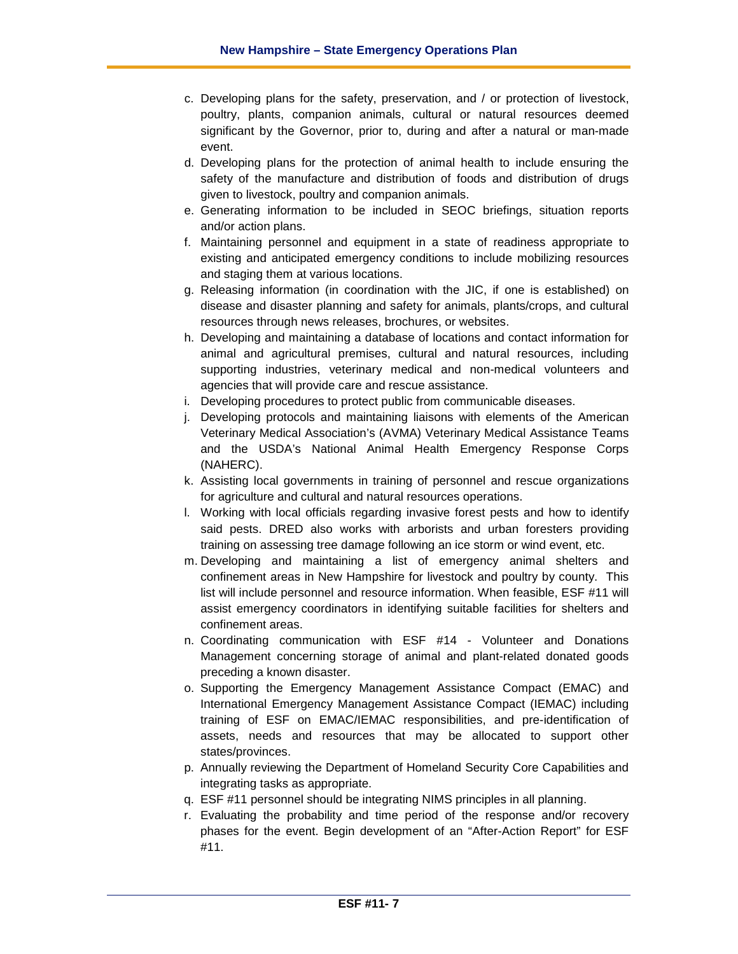- c. Developing plans for the safety, preservation, and / or protection of livestock, poultry, plants, companion animals, cultural or natural resources deemed significant by the Governor, prior to, during and after a natural or man-made event.
- d. Developing plans for the protection of animal health to include ensuring the safety of the manufacture and distribution of foods and distribution of drugs given to livestock, poultry and companion animals.
- e. Generating information to be included in SEOC briefings, situation reports and/or action plans.
- f. Maintaining personnel and equipment in a state of readiness appropriate to existing and anticipated emergency conditions to include mobilizing resources and staging them at various locations.
- g. Releasing information (in coordination with the JIC, if one is established) on disease and disaster planning and safety for animals, plants/crops, and cultural resources through news releases, brochures, or websites.
- h. Developing and maintaining a database of locations and contact information for animal and agricultural premises, cultural and natural resources, including supporting industries, veterinary medical and non-medical volunteers and agencies that will provide care and rescue assistance.
- i. Developing procedures to protect public from communicable diseases.
- j. Developing protocols and maintaining liaisons with elements of the American Veterinary Medical Association's (AVMA) Veterinary Medical Assistance Teams and the USDA's National Animal Health Emergency Response Corps (NAHERC).
- k. Assisting local governments in training of personnel and rescue organizations for agriculture and cultural and natural resources operations.
- l. Working with local officials regarding invasive forest pests and how to identify said pests. DRED also works with arborists and urban foresters providing training on assessing tree damage following an ice storm or wind event, etc.
- m. Developing and maintaining a list of emergency animal shelters and confinement areas in New Hampshire for livestock and poultry by county. This list will include personnel and resource information. When feasible, ESF #11 will assist emergency coordinators in identifying suitable facilities for shelters and confinement areas.
- n. Coordinating communication with ESF #14 Volunteer and Donations Management concerning storage of animal and plant-related donated goods preceding a known disaster.
- o. Supporting the Emergency Management Assistance Compact (EMAC) and International Emergency Management Assistance Compact (IEMAC) including training of ESF on EMAC/IEMAC responsibilities, and pre-identification of assets, needs and resources that may be allocated to support other states/provinces.
- p. Annually reviewing the Department of Homeland Security Core Capabilities and integrating tasks as appropriate.
- q. ESF #11 personnel should be integrating NIMS principles in all planning.
- r. Evaluating the probability and time period of the response and/or recovery phases for the event. Begin development of an "After-Action Report" for ESF #11.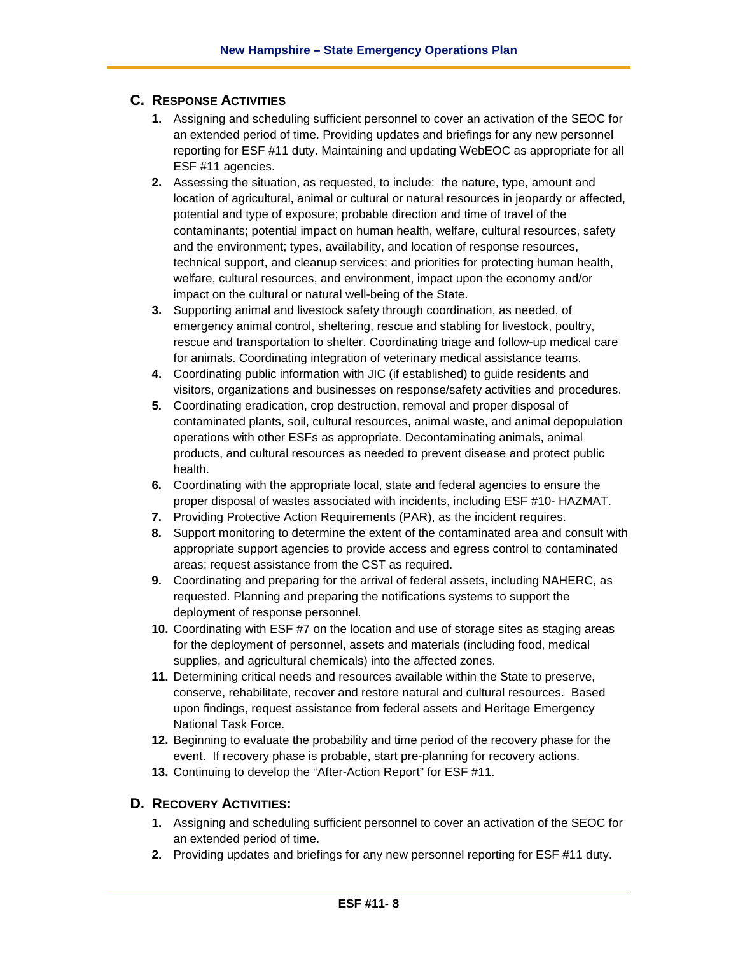# **C. RESPONSE ACTIVITIES**

- **1.** Assigning and scheduling sufficient personnel to cover an activation of the SEOC for an extended period of time. Providing updates and briefings for any new personnel reporting for ESF #11 duty. Maintaining and updating WebEOC as appropriate for all ESF #11 agencies.
- **2.** Assessing the situation, as requested, to include: the nature, type, amount and location of agricultural, animal or cultural or natural resources in jeopardy or affected, potential and type of exposure; probable direction and time of travel of the contaminants; potential impact on human health, welfare, cultural resources, safety and the environment; types, availability, and location of response resources, technical support, and cleanup services; and priorities for protecting human health, welfare, cultural resources, and environment, impact upon the economy and/or impact on the cultural or natural well-being of the State.
- **3.** Supporting animal and livestock safety through coordination, as needed, of emergency animal control, sheltering, rescue and stabling for livestock, poultry, rescue and transportation to shelter. Coordinating triage and follow-up medical care for animals. Coordinating integration of veterinary medical assistance teams.
- **4.** Coordinating public information with JIC (if established) to guide residents and visitors, organizations and businesses on response/safety activities and procedures.
- **5.** Coordinating eradication, crop destruction, removal and proper disposal of contaminated plants, soil, cultural resources, animal waste, and animal depopulation operations with other ESFs as appropriate. Decontaminating animals, animal products, and cultural resources as needed to prevent disease and protect public health.
- **6.** Coordinating with the appropriate local, state and federal agencies to ensure the proper disposal of wastes associated with incidents, including ESF #10- HAZMAT.
- **7.** Providing Protective Action Requirements (PAR), as the incident requires.
- **8.** Support monitoring to determine the extent of the contaminated area and consult with appropriate support agencies to provide access and egress control to contaminated areas; request assistance from the CST as required.
- **9.** Coordinating and preparing for the arrival of federal assets, including NAHERC, as requested. Planning and preparing the notifications systems to support the deployment of response personnel.
- **10.** Coordinating with ESF #7 on the location and use of storage sites as staging areas for the deployment of personnel, assets and materials (including food, medical supplies, and agricultural chemicals) into the affected zones.
- **11.** Determining critical needs and resources available within the State to preserve, conserve, rehabilitate, recover and restore natural and cultural resources. Based upon findings, request assistance from federal assets and Heritage Emergency National Task Force.
- **12.** Beginning to evaluate the probability and time period of the recovery phase for the event. If recovery phase is probable, start pre-planning for recovery actions.
- **13.** Continuing to develop the "After-Action Report" for ESF #11.

# **D. RECOVERY ACTIVITIES:**

- **1.** Assigning and scheduling sufficient personnel to cover an activation of the SEOC for an extended period of time.
- **2.** Providing updates and briefings for any new personnel reporting for ESF #11 duty.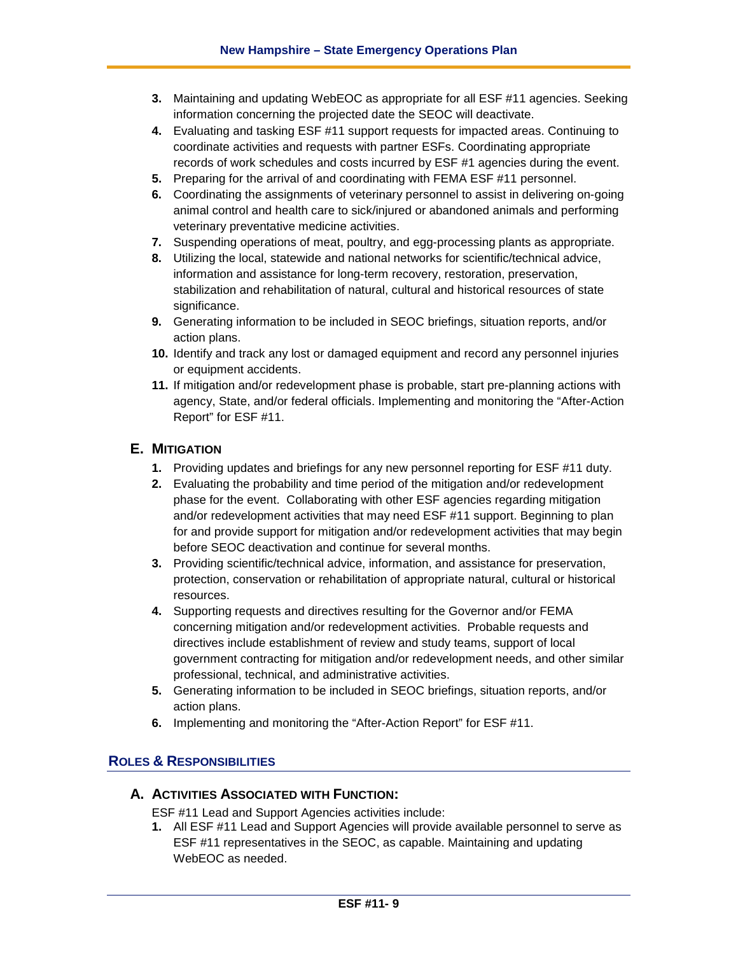- **3.** Maintaining and updating WebEOC as appropriate for all ESF #11 agencies. Seeking information concerning the projected date the SEOC will deactivate.
- **4.** Evaluating and tasking ESF #11 support requests for impacted areas. Continuing to coordinate activities and requests with partner ESFs. Coordinating appropriate records of work schedules and costs incurred by ESF #1 agencies during the event.
- **5.** Preparing for the arrival of and coordinating with FEMA ESF #11 personnel.
- **6.** Coordinating the assignments of veterinary personnel to assist in delivering on-going animal control and health care to sick/injured or abandoned animals and performing veterinary preventative medicine activities.
- **7.** Suspending operations of meat, poultry, and egg-processing plants as appropriate.
- **8.** Utilizing the local, statewide and national networks for scientific/technical advice, information and assistance for long-term recovery, restoration, preservation, stabilization and rehabilitation of natural, cultural and historical resources of state significance.
- **9.** Generating information to be included in SEOC briefings, situation reports, and/or action plans.
- **10.** Identify and track any lost or damaged equipment and record any personnel injuries or equipment accidents.
- **11.** If mitigation and/or redevelopment phase is probable, start pre-planning actions with agency, State, and/or federal officials. Implementing and monitoring the "After-Action Report" for ESF #11.

# **E. MITIGATION**

- **1.** Providing updates and briefings for any new personnel reporting for ESF #11 duty.
- **2.** Evaluating the probability and time period of the mitigation and/or redevelopment phase for the event. Collaborating with other ESF agencies regarding mitigation and/or redevelopment activities that may need ESF #11 support. Beginning to plan for and provide support for mitigation and/or redevelopment activities that may begin before SEOC deactivation and continue for several months.
- **3.** Providing scientific/technical advice, information, and assistance for preservation, protection, conservation or rehabilitation of appropriate natural, cultural or historical resources.
- **4.** Supporting requests and directives resulting for the Governor and/or FEMA concerning mitigation and/or redevelopment activities. Probable requests and directives include establishment of review and study teams, support of local government contracting for mitigation and/or redevelopment needs, and other similar professional, technical, and administrative activities.
- **5.** Generating information to be included in SEOC briefings, situation reports, and/or action plans.
- **6.** Implementing and monitoring the "After-Action Report" for ESF #11.

# **ROLES & RESPONSIBILITIES**

#### **A. ACTIVITIES ASSOCIATED WITH FUNCTION:**

ESF #11 Lead and Support Agencies activities include:

**1.** All ESF #11 Lead and Support Agencies will provide available personnel to serve as ESF #11 representatives in the SEOC, as capable. Maintaining and updating WebEOC as needed.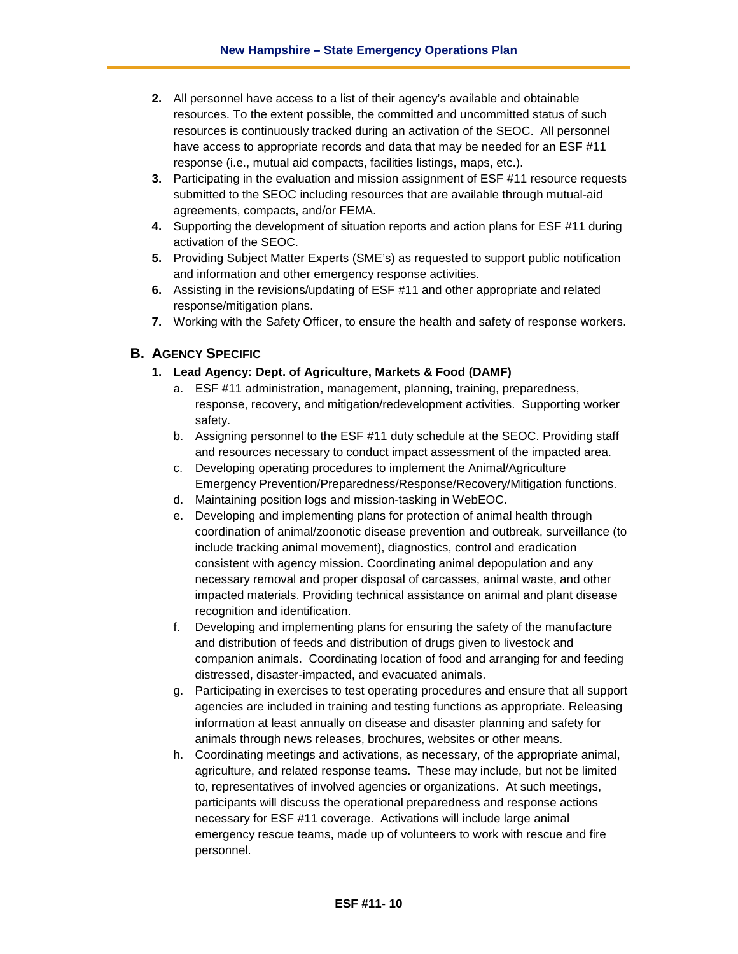- **2.** All personnel have access to a list of their agency's available and obtainable resources. To the extent possible, the committed and uncommitted status of such resources is continuously tracked during an activation of the SEOC. All personnel have access to appropriate records and data that may be needed for an ESF #11 response (i.e., mutual aid compacts, facilities listings, maps, etc.).
- **3.** Participating in the evaluation and mission assignment of ESF #11 resource requests submitted to the SEOC including resources that are available through mutual-aid agreements, compacts, and/or FEMA.
- **4.** Supporting the development of situation reports and action plans for ESF #11 during activation of the SEOC.
- **5.** Providing Subject Matter Experts (SME's) as requested to support public notification and information and other emergency response activities.
- **6.** Assisting in the revisions/updating of ESF #11 and other appropriate and related response/mitigation plans.
- **7.** Working with the Safety Officer, to ensure the health and safety of response workers.

# **B. AGENCY SPECIFIC**

- **1. Lead Agency: Dept. of Agriculture, Markets & Food (DAMF)**
	- a. ESF #11 administration, management, planning, training, preparedness, response, recovery, and mitigation/redevelopment activities. Supporting worker safety.
	- b. Assigning personnel to the ESF #11 duty schedule at the SEOC. Providing staff and resources necessary to conduct impact assessment of the impacted area.
	- c. Developing operating procedures to implement the Animal/Agriculture Emergency Prevention/Preparedness/Response/Recovery/Mitigation functions.
	- d. Maintaining position logs and mission-tasking in WebEOC.
	- e. Developing and implementing plans for protection of animal health through coordination of animal/zoonotic disease prevention and outbreak, surveillance (to include tracking animal movement), diagnostics, control and eradication consistent with agency mission. Coordinating animal depopulation and any necessary removal and proper disposal of carcasses, animal waste, and other impacted materials. Providing technical assistance on animal and plant disease recognition and identification.
	- f. Developing and implementing plans for ensuring the safety of the manufacture and distribution of feeds and distribution of drugs given to livestock and companion animals. Coordinating location of food and arranging for and feeding distressed, disaster-impacted, and evacuated animals.
	- g. Participating in exercises to test operating procedures and ensure that all support agencies are included in training and testing functions as appropriate. Releasing information at least annually on disease and disaster planning and safety for animals through news releases, brochures, websites or other means.
	- h. Coordinating meetings and activations, as necessary, of the appropriate animal, agriculture, and related response teams. These may include, but not be limited to, representatives of involved agencies or organizations. At such meetings, participants will discuss the operational preparedness and response actions necessary for ESF #11 coverage. Activations will include large animal emergency rescue teams, made up of volunteers to work with rescue and fire personnel.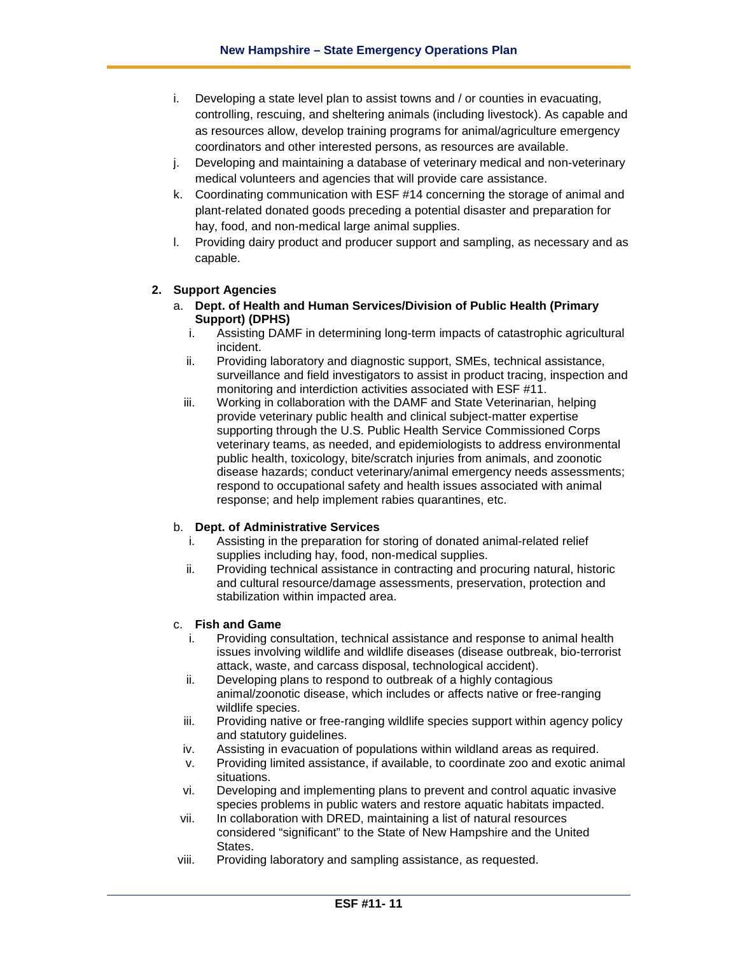- i. Developing a state level plan to assist towns and / or counties in evacuating, controlling, rescuing, and sheltering animals (including livestock). As capable and as resources allow, develop training programs for animal/agriculture emergency coordinators and other interested persons, as resources are available.
- j. Developing and maintaining a database of veterinary medical and non-veterinary medical volunteers and agencies that will provide care assistance.
- k. Coordinating communication with ESF #14 concerning the storage of animal and plant-related donated goods preceding a potential disaster and preparation for hay, food, and non-medical large animal supplies.
- l. Providing dairy product and producer support and sampling, as necessary and as capable.

### **2. Support Agencies**

- a. **Dept. of Health and Human Services/Division of Public Health (Primary Support) (DPHS)**
	- i. Assisting DAMF in determining long-term impacts of catastrophic agricultural incident.
	- ii. Providing laboratory and diagnostic support, SMEs, technical assistance, surveillance and field investigators to assist in product tracing, inspection and monitoring and interdiction activities associated with ESF #11.
	- iii. Working in collaboration with the DAMF and State Veterinarian, helping provide veterinary public health and clinical subject-matter expertise supporting through the U.S. Public Health Service Commissioned Corps veterinary teams, as needed, and epidemiologists to address environmental public health, toxicology, bite/scratch injuries from animals, and zoonotic disease hazards; conduct veterinary/animal emergency needs assessments; respond to occupational safety and health issues associated with animal response; and help implement rabies quarantines, etc.

#### b. **Dept. of Administrative Services**

- i. Assisting in the preparation for storing of donated animal-related relief supplies including hay, food, non-medical supplies.
- ii. Providing technical assistance in contracting and procuring natural, historic and cultural resource/damage assessments, preservation, protection and stabilization within impacted area.

#### c. **Fish and Game**

- i. Providing consultation, technical assistance and response to animal health issues involving wildlife and wildlife diseases (disease outbreak, bio-terrorist attack, waste, and carcass disposal, technological accident).
- ii. Developing plans to respond to outbreak of a highly contagious animal/zoonotic disease, which includes or affects native or free-ranging wildlife species.
- iii. Providing native or free-ranging wildlife species support within agency policy and statutory guidelines.
- iv. Assisting in evacuation of populations within wildland areas as required.
- v. Providing limited assistance, if available, to coordinate zoo and exotic animal situations.
- vi. Developing and implementing plans to prevent and control aquatic invasive species problems in public waters and restore aquatic habitats impacted.
- vii. In collaboration with DRED, maintaining a list of natural resources considered "significant" to the State of New Hampshire and the United States.
- viii. Providing laboratory and sampling assistance, as requested.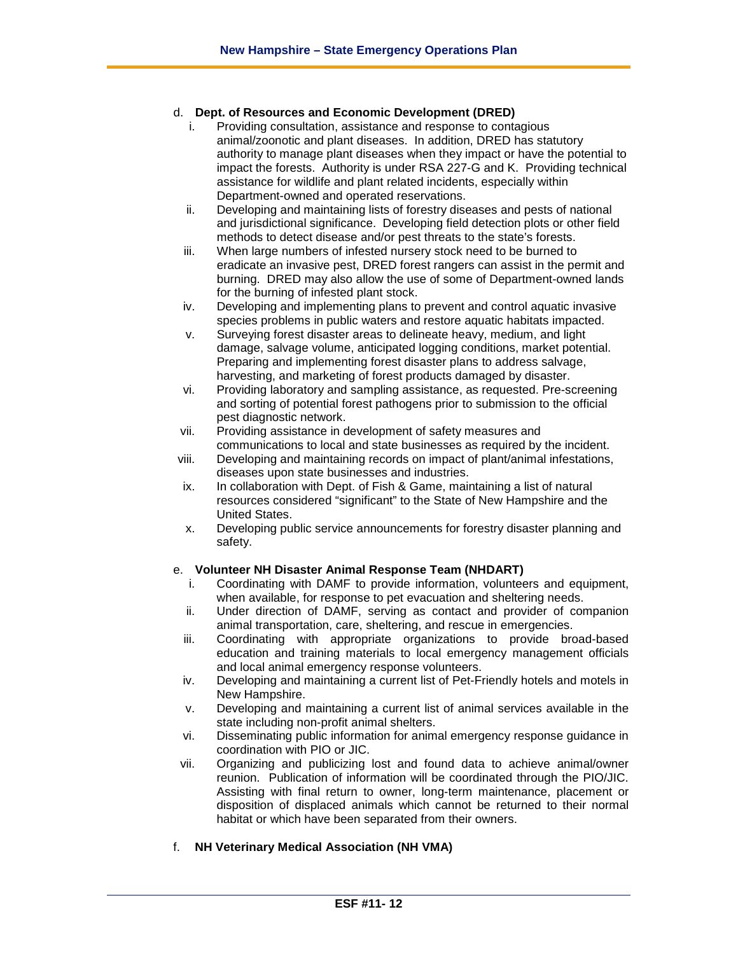# d. **Dept. of Resources and Economic Development (DRED)**

- i. Providing consultation, assistance and response to contagious animal/zoonotic and plant diseases. In addition, DRED has statutory authority to manage plant diseases when they impact or have the potential to impact the forests. Authority is under RSA 227-G and K. Providing technical assistance for wildlife and plant related incidents, especially within Department-owned and operated reservations.
- ii. Developing and maintaining lists of forestry diseases and pests of national and jurisdictional significance. Developing field detection plots or other field methods to detect disease and/or pest threats to the state's forests.
- iii. When large numbers of infested nursery stock need to be burned to eradicate an invasive pest, DRED forest rangers can assist in the permit and burning. DRED may also allow the use of some of Department-owned lands for the burning of infested plant stock.
- iv. Developing and implementing plans to prevent and control aquatic invasive species problems in public waters and restore aquatic habitats impacted.
- v. Surveying forest disaster areas to delineate heavy, medium, and light damage, salvage volume, anticipated logging conditions, market potential. Preparing and implementing forest disaster plans to address salvage, harvesting, and marketing of forest products damaged by disaster.
- vi. Providing laboratory and sampling assistance, as requested. Pre-screening and sorting of potential forest pathogens prior to submission to the official pest diagnostic network.
- vii. Providing assistance in development of safety measures and communications to local and state businesses as required by the incident.
- viii. Developing and maintaining records on impact of plant/animal infestations, diseases upon state businesses and industries.
- ix. In collaboration with Dept. of Fish & Game, maintaining a list of natural resources considered "significant" to the State of New Hampshire and the United States.
- x. Developing public service announcements for forestry disaster planning and safety.

#### e. **Volunteer NH Disaster Animal Response Team (NHDART)**

- i. Coordinating with DAMF to provide information, volunteers and equipment, when available, for response to pet evacuation and sheltering needs.
- ii. Under direction of DAMF, serving as contact and provider of companion animal transportation, care, sheltering, and rescue in emergencies.
- iii. Coordinating with appropriate organizations to provide broad-based education and training materials to local emergency management officials and local animal emergency response volunteers.
- iv. Developing and maintaining a current list of Pet-Friendly hotels and motels in New Hampshire.
- v. Developing and maintaining a current list of animal services available in the state including non-profit animal shelters.
- vi. Disseminating public information for animal emergency response guidance in coordination with PIO or JIC.
- vii. Organizing and publicizing lost and found data to achieve animal/owner reunion. Publication of information will be coordinated through the PIO/JIC. Assisting with final return to owner, long-term maintenance, placement or disposition of displaced animals which cannot be returned to their normal habitat or which have been separated from their owners.

# f. **NH Veterinary Medical Association (NH VMA)**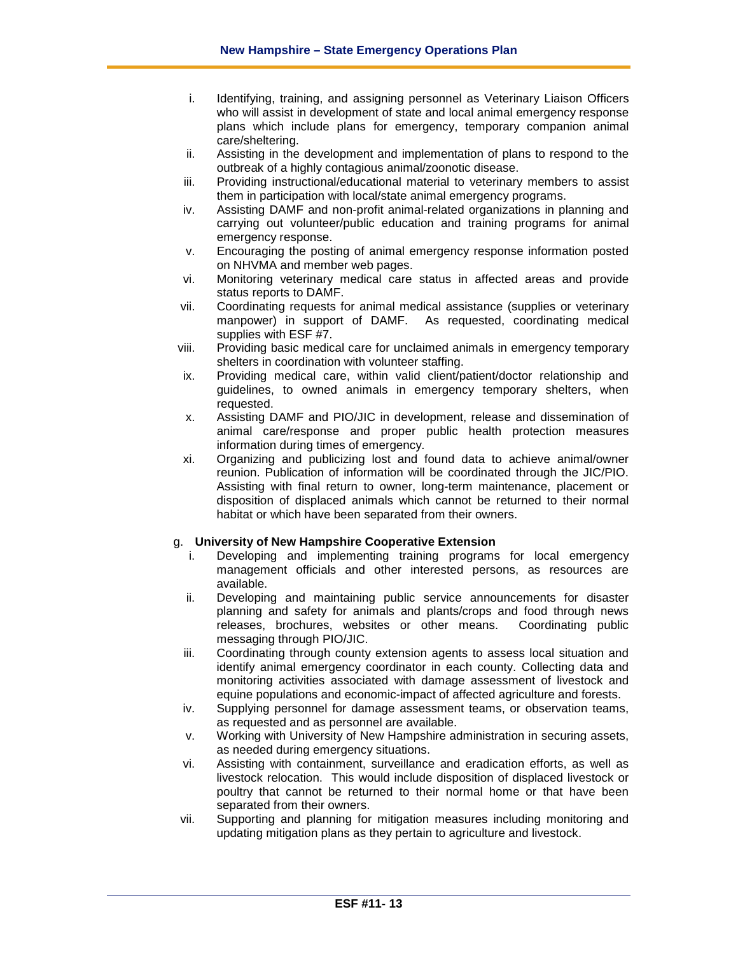- i. Identifying, training, and assigning personnel as Veterinary Liaison Officers who will assist in development of state and local animal emergency response plans which include plans for emergency, temporary companion animal care/sheltering.
- ii. Assisting in the development and implementation of plans to respond to the outbreak of a highly contagious animal/zoonotic disease.
- iii. Providing instructional/educational material to veterinary members to assist them in participation with local/state animal emergency programs.
- iv. Assisting DAMF and non-profit animal-related organizations in planning and carrying out volunteer/public education and training programs for animal emergency response.
- v. Encouraging the posting of animal emergency response information posted on NHVMA and member web pages.
- vi. Monitoring veterinary medical care status in affected areas and provide status reports to DAMF.
- vii. Coordinating requests for animal medical assistance (supplies or veterinary manpower) in support of DAMF. As requested, coordinating medical supplies with ESF #7.
- viii. Providing basic medical care for unclaimed animals in emergency temporary shelters in coordination with volunteer staffing.
- ix. Providing medical care, within valid client/patient/doctor relationship and guidelines, to owned animals in emergency temporary shelters, when requested.
- x. Assisting DAMF and PIO/JIC in development, release and dissemination of animal care/response and proper public health protection measures information during times of emergency.
- xi. Organizing and publicizing lost and found data to achieve animal/owner reunion. Publication of information will be coordinated through the JIC/PIO. Assisting with final return to owner, long-term maintenance, placement or disposition of displaced animals which cannot be returned to their normal habitat or which have been separated from their owners.

# g. **University of New Hampshire Cooperative Extension**

- i. Developing and implementing training programs for local emergency management officials and other interested persons, as resources are available.
- ii. Developing and maintaining public service announcements for disaster planning and safety for animals and plants/crops and food through news releases, brochures, websites or other means. Coordinating public messaging through PIO/JIC.
- iii. Coordinating through county extension agents to assess local situation and identify animal emergency coordinator in each county. Collecting data and monitoring activities associated with damage assessment of livestock and equine populations and economic-impact of affected agriculture and forests.
- iv. Supplying personnel for damage assessment teams, or observation teams, as requested and as personnel are available.
- v. Working with University of New Hampshire administration in securing assets, as needed during emergency situations.
- vi. Assisting with containment, surveillance and eradication efforts, as well as livestock relocation. This would include disposition of displaced livestock or poultry that cannot be returned to their normal home or that have been separated from their owners.
- vii. Supporting and planning for mitigation measures including monitoring and updating mitigation plans as they pertain to agriculture and livestock.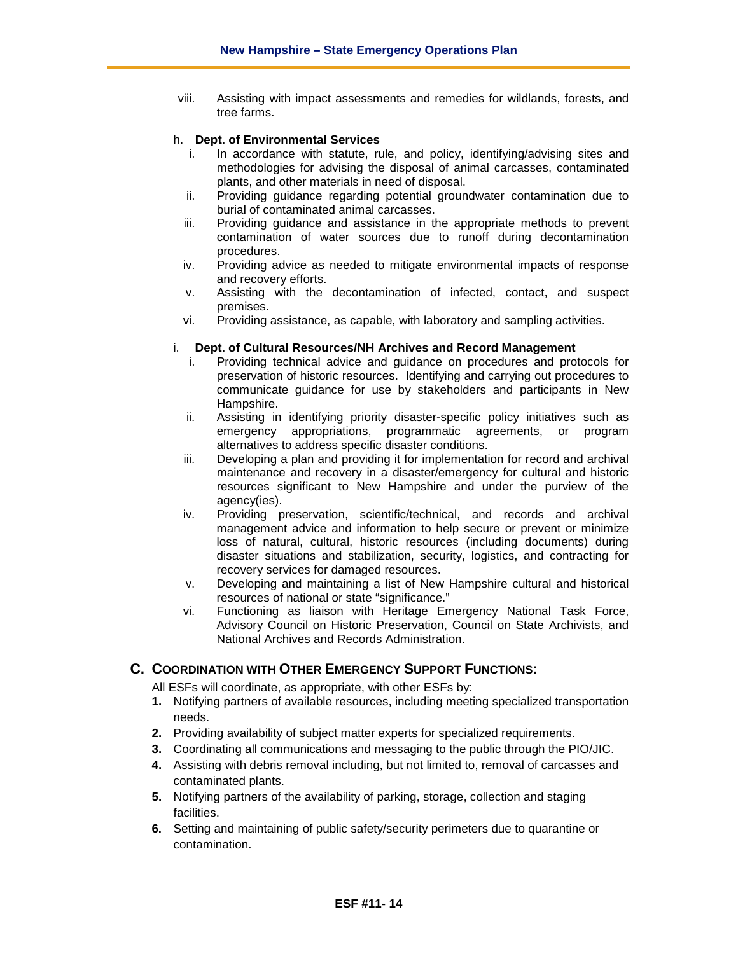viii. Assisting with impact assessments and remedies for wildlands, forests, and tree farms.

#### h. **Dept. of Environmental Services**

- i. In accordance with statute, rule, and policy, identifying/advising sites and methodologies for advising the disposal of animal carcasses, contaminated plants, and other materials in need of disposal.
- ii. Providing guidance regarding potential groundwater contamination due to burial of contaminated animal carcasses.
- iii. Providing guidance and assistance in the appropriate methods to prevent contamination of water sources due to runoff during decontamination procedures.
- iv. Providing advice as needed to mitigate environmental impacts of response and recovery efforts.
- v. Assisting with the decontamination of infected, contact, and suspect premises.
- vi. Providing assistance, as capable, with laboratory and sampling activities.

#### i. **Dept. of Cultural Resources/NH Archives and Record Management**

- i. Providing technical advice and guidance on procedures and protocols for preservation of historic resources. Identifying and carrying out procedures to communicate guidance for use by stakeholders and participants in New Hampshire.
- ii. Assisting in identifying priority disaster-specific policy initiatives such as emergency appropriations, programmatic agreements, or program alternatives to address specific disaster conditions.
- iii. Developing a plan and providing it for implementation for record and archival maintenance and recovery in a disaster/emergency for cultural and historic resources significant to New Hampshire and under the purview of the agency(ies).
- iv. Providing preservation, scientific/technical, and records and archival management advice and information to help secure or prevent or minimize loss of natural, cultural, historic resources (including documents) during disaster situations and stabilization, security, logistics, and contracting for recovery services for damaged resources.
- v. Developing and maintaining a list of New Hampshire cultural and historical resources of national or state "significance."
- vi. Functioning as liaison with Heritage Emergency National Task Force, Advisory Council on Historic Preservation, Council on State Archivists, and National Archives and Records Administration.

# **C. COORDINATION WITH OTHER EMERGENCY SUPPORT FUNCTIONS:**

All ESFs will coordinate, as appropriate, with other ESFs by:

- **1.** Notifying partners of available resources, including meeting specialized transportation needs.
- **2.** Providing availability of subject matter experts for specialized requirements.
- **3.** Coordinating all communications and messaging to the public through the PIO/JIC.
- **4.** Assisting with debris removal including, but not limited to, removal of carcasses and contaminated plants.
- **5.** Notifying partners of the availability of parking, storage, collection and staging facilities.
- **6.** Setting and maintaining of public safety/security perimeters due to quarantine or contamination.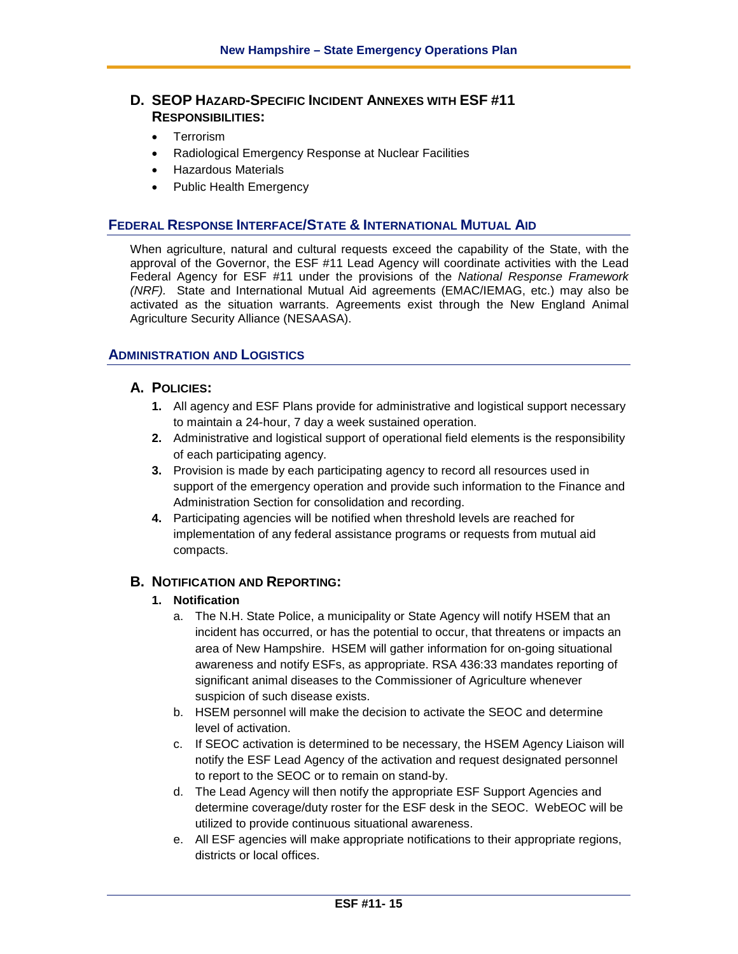# **D. SEOP HAZARD-SPECIFIC INCIDENT ANNEXES WITH ESF #11 RESPONSIBILITIES:**

- Terrorism
- Radiological Emergency Response at Nuclear Facilities
- Hazardous Materials
- Public Health Emergency

# **FEDERAL RESPONSE INTERFACE/STATE & INTERNATIONAL MUTUAL AID**

When agriculture, natural and cultural requests exceed the capability of the State, with the approval of the Governor, the ESF #11 Lead Agency will coordinate activities with the Lead Federal Agency for ESF #11 under the provisions of the *National Response Framework (NRF).* State and International Mutual Aid agreements (EMAC/IEMAG, etc.) may also be activated as the situation warrants. Agreements exist through the New England Animal Agriculture Security Alliance (NESAASA).

# **ADMINISTRATION AND LOGISTICS**

### **A. POLICIES:**

- **1.** All agency and ESF Plans provide for administrative and logistical support necessary to maintain a 24-hour, 7 day a week sustained operation.
- **2.** Administrative and logistical support of operational field elements is the responsibility of each participating agency.
- **3.** Provision is made by each participating agency to record all resources used in support of the emergency operation and provide such information to the Finance and Administration Section for consolidation and recording.
- **4.** Participating agencies will be notified when threshold levels are reached for implementation of any federal assistance programs or requests from mutual aid compacts.

# **B. NOTIFICATION AND REPORTING:**

#### **1. Notification**

- a. The N.H. State Police, a municipality or State Agency will notify HSEM that an incident has occurred, or has the potential to occur, that threatens or impacts an area of New Hampshire. HSEM will gather information for on-going situational awareness and notify ESFs, as appropriate. RSA 436:33 mandates reporting of significant animal diseases to the Commissioner of Agriculture whenever suspicion of such disease exists.
- b. HSEM personnel will make the decision to activate the SEOC and determine level of activation.
- c. If SEOC activation is determined to be necessary, the HSEM Agency Liaison will notify the ESF Lead Agency of the activation and request designated personnel to report to the SEOC or to remain on stand-by.
- d. The Lead Agency will then notify the appropriate ESF Support Agencies and determine coverage/duty roster for the ESF desk in the SEOC. WebEOC will be utilized to provide continuous situational awareness.
- e. All ESF agencies will make appropriate notifications to their appropriate regions, districts or local offices.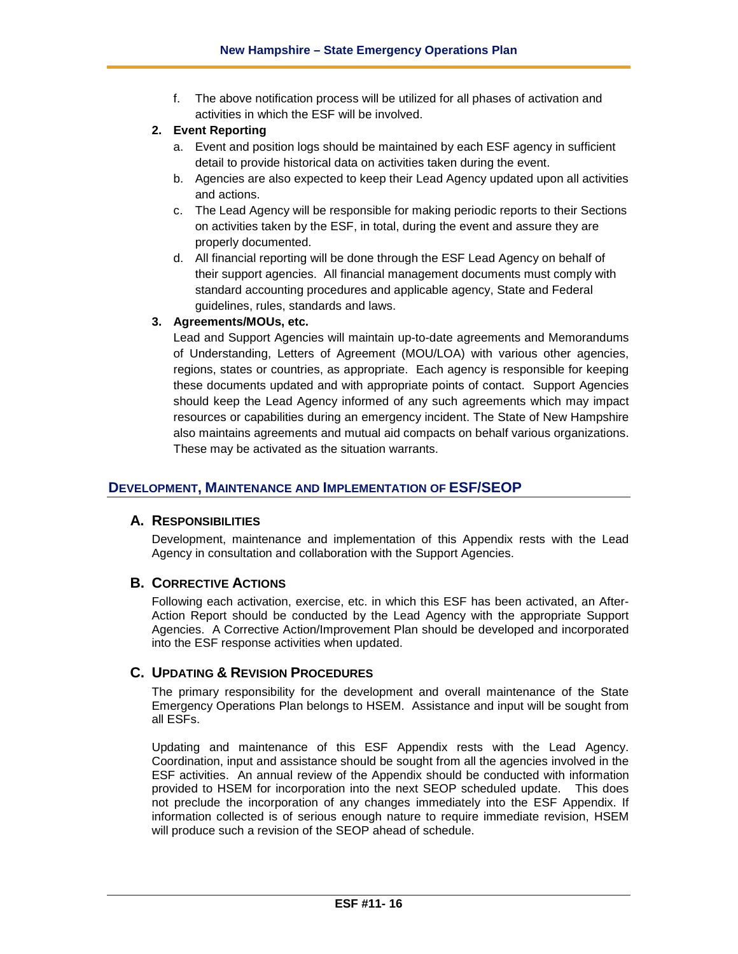f. The above notification process will be utilized for all phases of activation and activities in which the ESF will be involved.

#### **2. Event Reporting**

- a. Event and position logs should be maintained by each ESF agency in sufficient detail to provide historical data on activities taken during the event.
- b. Agencies are also expected to keep their Lead Agency updated upon all activities and actions.
- c. The Lead Agency will be responsible for making periodic reports to their Sections on activities taken by the ESF, in total, during the event and assure they are properly documented.
- d. All financial reporting will be done through the ESF Lead Agency on behalf of their support agencies. All financial management documents must comply with standard accounting procedures and applicable agency, State and Federal guidelines, rules, standards and laws.

### **3. Agreements/MOUs, etc.**

Lead and Support Agencies will maintain up-to-date agreements and Memorandums of Understanding, Letters of Agreement (MOU/LOA) with various other agencies, regions, states or countries, as appropriate. Each agency is responsible for keeping these documents updated and with appropriate points of contact. Support Agencies should keep the Lead Agency informed of any such agreements which may impact resources or capabilities during an emergency incident. The State of New Hampshire also maintains agreements and mutual aid compacts on behalf various organizations. These may be activated as the situation warrants.

# **DEVELOPMENT, MAINTENANCE AND IMPLEMENTATION OF ESF/SEOP**

# **A. RESPONSIBILITIES**

Development, maintenance and implementation of this Appendix rests with the Lead Agency in consultation and collaboration with the Support Agencies.

# **B. CORRECTIVE ACTIONS**

Following each activation, exercise, etc. in which this ESF has been activated, an After-Action Report should be conducted by the Lead Agency with the appropriate Support Agencies. A Corrective Action/Improvement Plan should be developed and incorporated into the ESF response activities when updated.

### **C. UPDATING & REVISION PROCEDURES**

The primary responsibility for the development and overall maintenance of the State Emergency Operations Plan belongs to HSEM. Assistance and input will be sought from all ESFs.

Updating and maintenance of this ESF Appendix rests with the Lead Agency. Coordination, input and assistance should be sought from all the agencies involved in the ESF activities. An annual review of the Appendix should be conducted with information provided to HSEM for incorporation into the next SEOP scheduled update. This does not preclude the incorporation of any changes immediately into the ESF Appendix. If information collected is of serious enough nature to require immediate revision, HSEM will produce such a revision of the SEOP ahead of schedule.